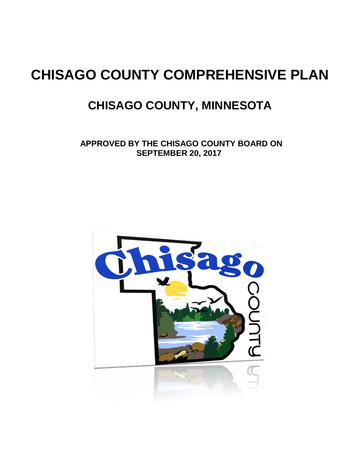# **CHISAGO COUNTY COMPREHENSIVE PLAN**

## **CHISAGO COUNTY, MINNESOTA**

 **APPROVED BY THE CHISAGO COUNTY BOARD ON SEPTEMBER 20, 2017**

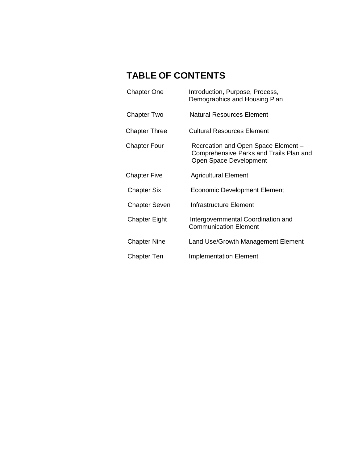### **TABLE OF CONTENTS**

| <b>Chapter One</b>   | Introduction, Purpose, Process,<br>Demographics and Housing Plan                                         |
|----------------------|----------------------------------------------------------------------------------------------------------|
| Chapter Two          | Natural Resources Element                                                                                |
| <b>Chapter Three</b> | Cultural Resources Element                                                                               |
| <b>Chapter Four</b>  | Recreation and Open Space Element -<br>Comprehensive Parks and Trails Plan and<br>Open Space Development |
| <b>Chapter Five</b>  | <b>Agricultural Element</b>                                                                              |
| <b>Chapter Six</b>   | Economic Development Element                                                                             |
| <b>Chapter Seven</b> | Infrastructure Element                                                                                   |
| Chapter Eight        | Intergovernmental Coordination and<br><b>Communication Element</b>                                       |
| <b>Chapter Nine</b>  | Land Use/Growth Management Element                                                                       |
| <b>Chapter Ten</b>   | <b>Implementation Element</b>                                                                            |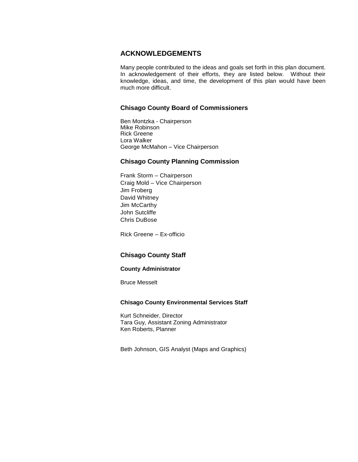#### **ACKNOWLEDGEMENTS**

Many people contributed to the ideas and goals set forth in this plan document. In acknowledgement of their efforts, they are listed below. Without their knowledge, ideas, and time, the development of this plan would have been much more difficult.

#### **Chisago County Board of Commissioners**

Ben Montzka - Chairperson Mike Robinson Rick Greene Lora Walker George McMahon – Vice Chairperson

#### **Chisago County Planning Commission**

Frank Storm – Chairperson Craig Mold – Vice Chairperson Jim Froberg David Whitney Jim McCarthy John Sutcliffe Chris DuBose

Rick Greene – Ex-officio

#### **Chisago County Staff**

#### **County Administrator**

Bruce Messelt

#### **Chisago County Environmental Services Staff**

Kurt Schneider, Director Tara Guy, Assistant Zoning Administrator Ken Roberts, Planner

Beth Johnson, GIS Analyst (Maps and Graphics)